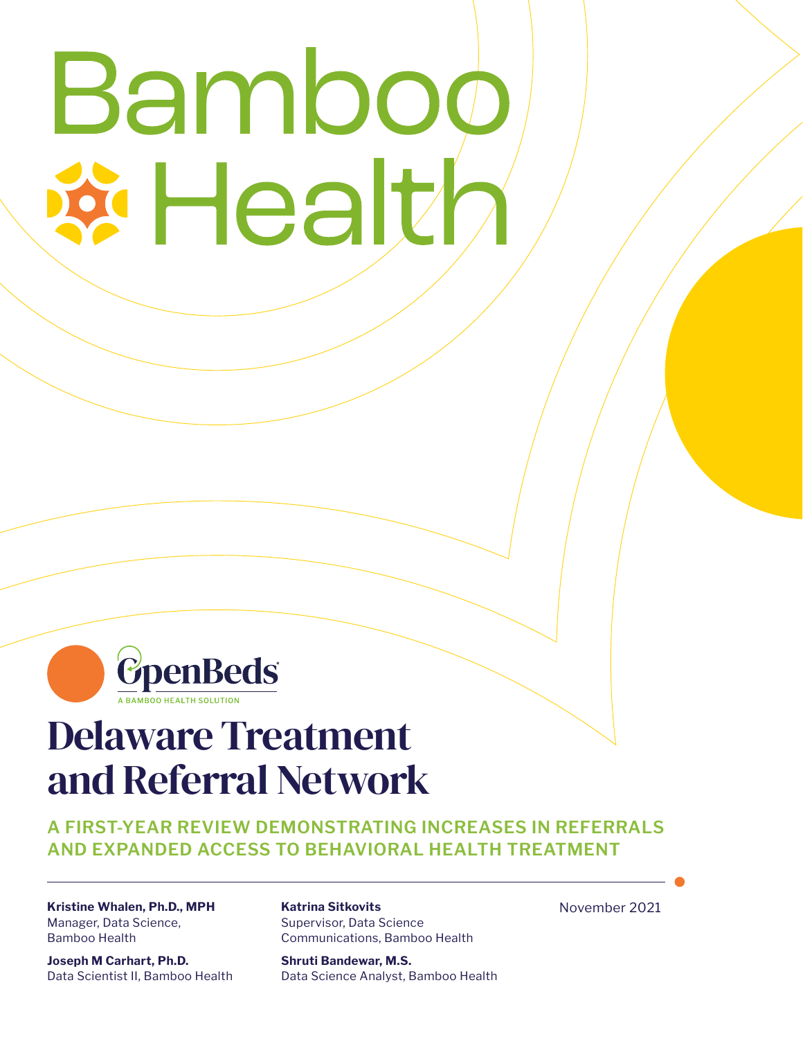# Bambo **i Healt**



# Delaware Treatment and Referral Network

**A FIRST-YEAR REVIEW DEMONSTRATING INCREASES IN REFERRALS AND EXPANDED ACCESS TO BEHAVIORAL HEALTH TREATMENT**

**Kristine Whalen, Ph.D., MPH** Manager, Data Science, Bamboo Health

**Joseph M Carhart, Ph.D.** Data Scientist II, Bamboo Health **Katrina Sitkovits** Supervisor, Data Science Communications, Bamboo Health

**Shruti Bandewar, M.S.** Data Science Analyst, Bamboo Health November 2021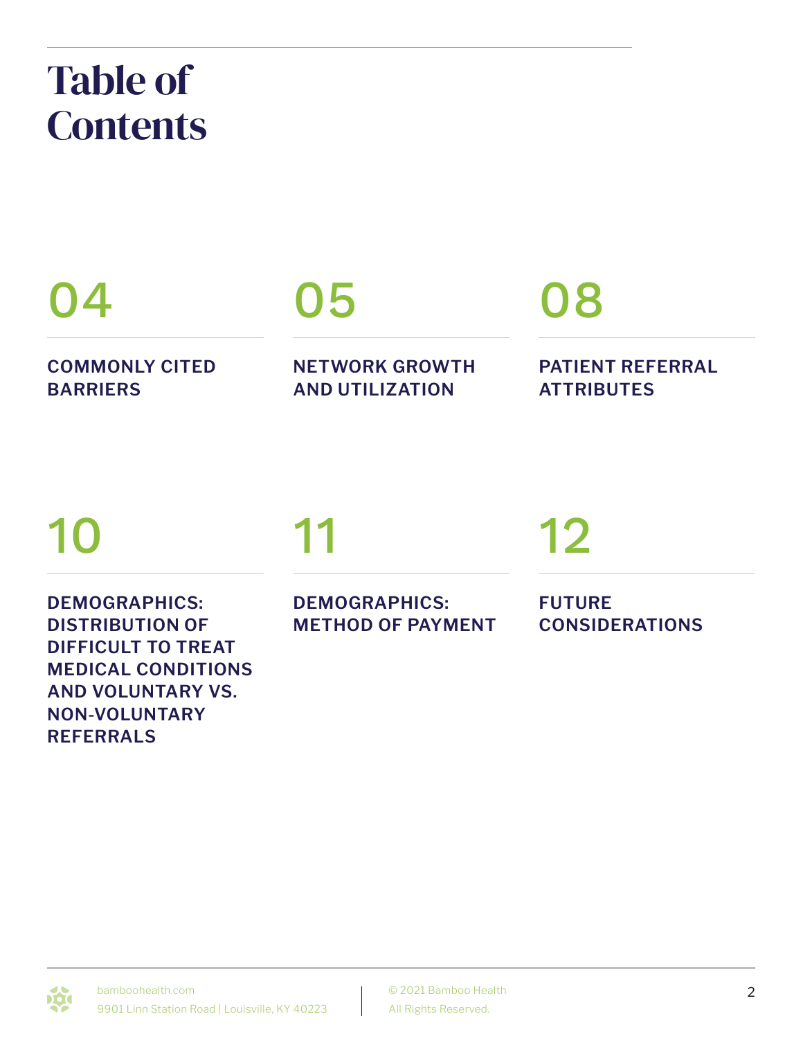# Table of **Contents**

# 04

**COMMONLY CITED BARRIERS**

# 05

**NETWORK GROWTH AND UTILIZATION**

# 08

**PATIENT REFERRAL ATTRIBUTES**

# 10

**DEMOGRAPHICS: DISTRIBUTION OF DIFFICULT TO TREAT MEDICAL CONDITIONS AND VOLUNTARY VS. NON-VOLUNTARY REFERRALS**

# 11

**DEMOGRAPHICS: METHOD OF PAYMENT**

# 12

**FUTURE CONSIDERATIONS**

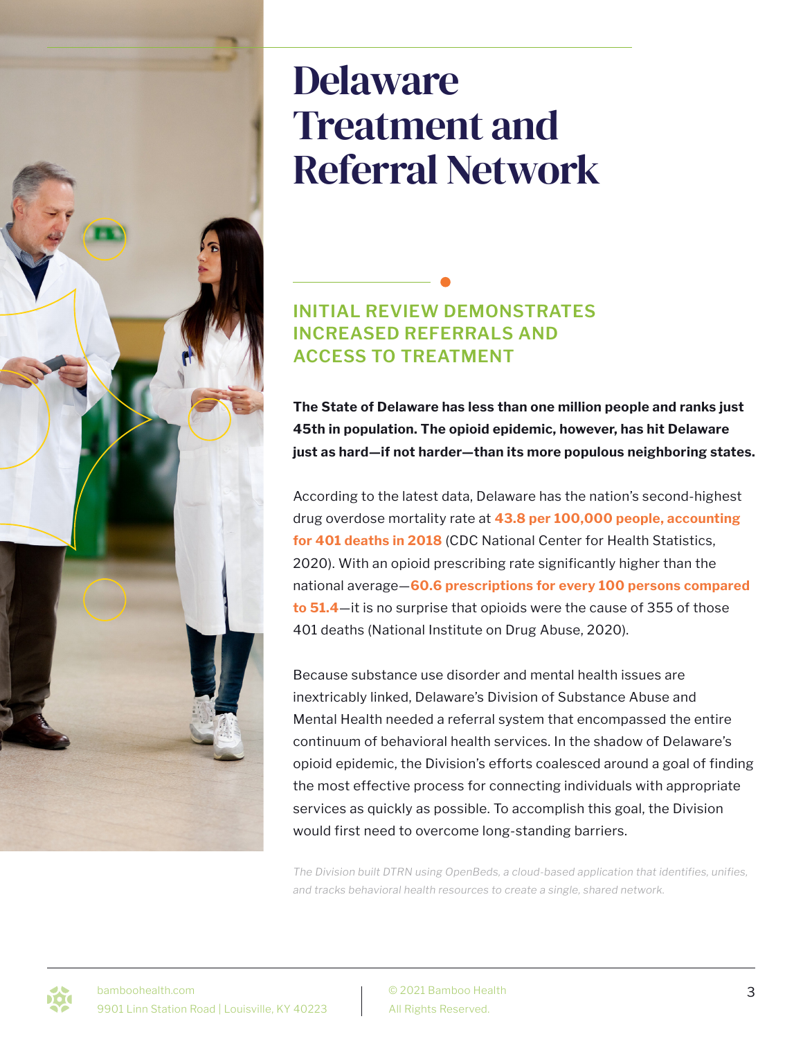# Delaware Treatment and Referral Network

### **INITIAL REVIEW DEMONSTRATES INCREASED REFERRALS AND ACCESS TO TREATMENT**

**The State of Delaware has less than one million people and ranks just 45th in population. The opioid epidemic, however, has hit Delaware just as hard—if not harder—than its more populous neighboring states.**

According to the latest data, Delaware has the nation's second-highest drug overdose mortality rate at **43.8 per 100,000 people, accounting for 401 deaths in 2018** (CDC National Center for Health Statistics, 2020). With an opioid prescribing rate significantly higher than the national average—**60.6 prescriptions for every 100 persons compared to 51.4**—it is no surprise that opioids were the cause of 355 of those 401 deaths (National Institute on Drug Abuse, 2020).

Because substance use disorder and mental health issues are inextricably linked, Delaware's Division of Substance Abuse and Mental Health needed a referral system that encompassed the entire continuum of behavioral health services. In the shadow of Delaware's opioid epidemic, the Division's efforts coalesced around a goal of finding the most effective process for connecting individuals with appropriate services as quickly as possible. To accomplish this goal, the Division would first need to overcome long-standing barriers.

*The Division built DTRN using OpenBeds, a cloud-based application that identifies, unifies, and tracks behavioral health resources to create a single, shared network.* 

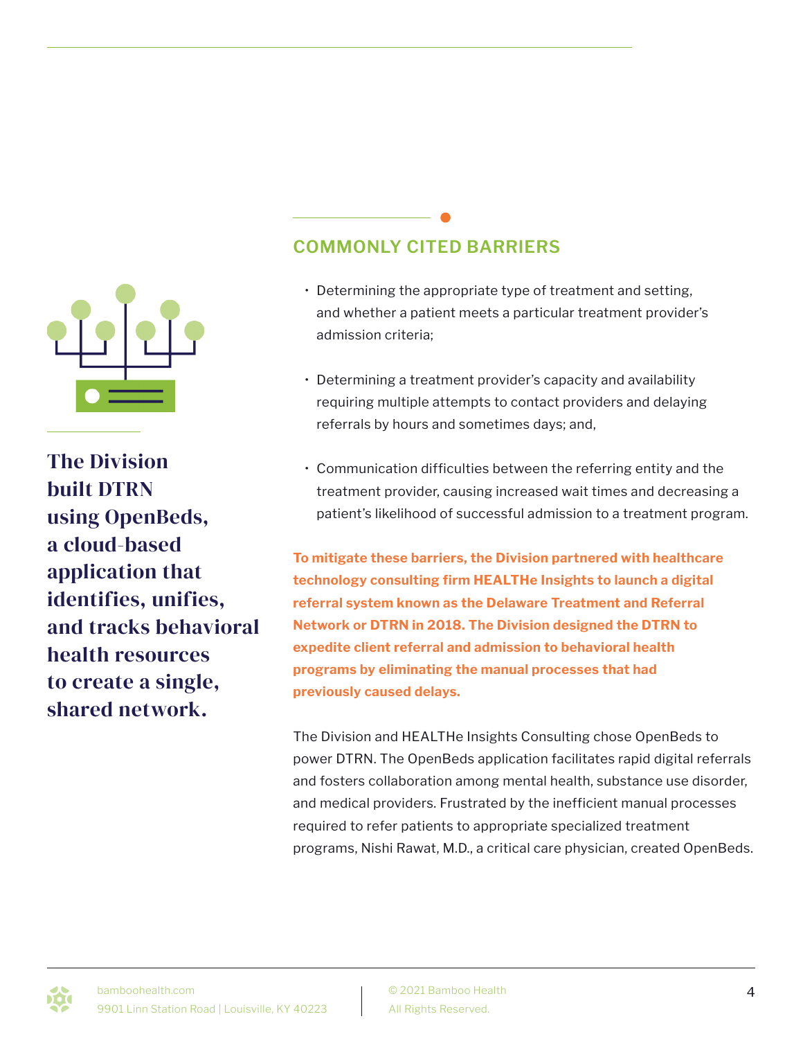

The Division built DTRN using OpenBeds, a cloud-based application that identifies, unifies, and tracks behavioral health resources to create a single, shared network.

## **COMMONLY CITED BARRIERS**

- Determining the appropriate type of treatment and setting, and whether a patient meets a particular treatment provider's admission criteria;
- Determining a treatment provider's capacity and availability requiring multiple attempts to contact providers and delaying referrals by hours and sometimes days; and,
- Communication difficulties between the referring entity and the treatment provider, causing increased wait times and decreasing a patient's likelihood of successful admission to a treatment program.

**To mitigate these barriers, the Division partnered with healthcare technology consulting firm HEALTHe Insights to launch a digital referral system known as the Delaware Treatment and Referral Network or DTRN in 2018. The Division designed the DTRN to expedite client referral and admission to behavioral health programs by eliminating the manual processes that had previously caused delays.**

The Division and HEALTHe Insights Consulting chose OpenBeds to power DTRN. The OpenBeds application facilitates rapid digital referrals and fosters collaboration among mental health, substance use disorder, and medical providers. Frustrated by the inefficient manual processes required to refer patients to appropriate specialized treatment programs, Nishi Rawat, M.D., a critical care physician, created OpenBeds.

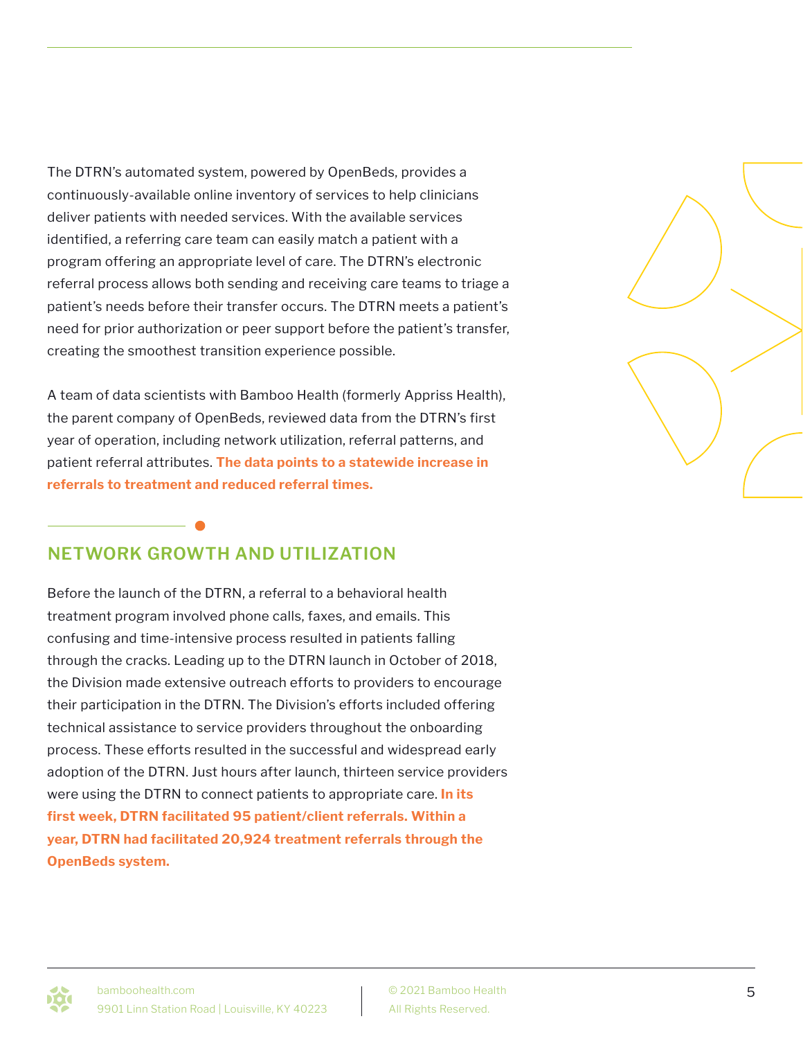The DTRN's automated system, powered by OpenBeds, provides a continuously-available online inventory of services to help clinicians deliver patients with needed services. With the available services identified, a referring care team can easily match a patient with a program offering an appropriate level of care. The DTRN's electronic referral process allows both sending and receiving care teams to triage a patient's needs before their transfer occurs. The DTRN meets a patient's need for prior authorization or peer support before the patient's transfer, creating the smoothest transition experience possible.

A team of data scientists with Bamboo Health (formerly Appriss Health), the parent company of OpenBeds, reviewed data from the DTRN's first year of operation, including network utilization, referral patterns, and patient referral attributes. **The data points to a statewide increase in referrals to treatment and reduced referral times.**

### **NETWORK GROWTH AND UTILIZATION**

Before the launch of the DTRN, a referral to a behavioral health treatment program involved phone calls, faxes, and emails. This confusing and time-intensive process resulted in patients falling through the cracks. Leading up to the DTRN launch in October of 2018, the Division made extensive outreach efforts to providers to encourage their participation in the DTRN. The Division's efforts included offering technical assistance to service providers throughout the onboarding process. These efforts resulted in the successful and widespread early adoption of the DTRN. Just hours after launch, thirteen service providers were using the DTRN to connect patients to appropriate care. **In its first week, DTRN facilitated 95 patient/client referrals. Within a year, DTRN had facilitated 20,924 treatment referrals through the OpenBeds system.**



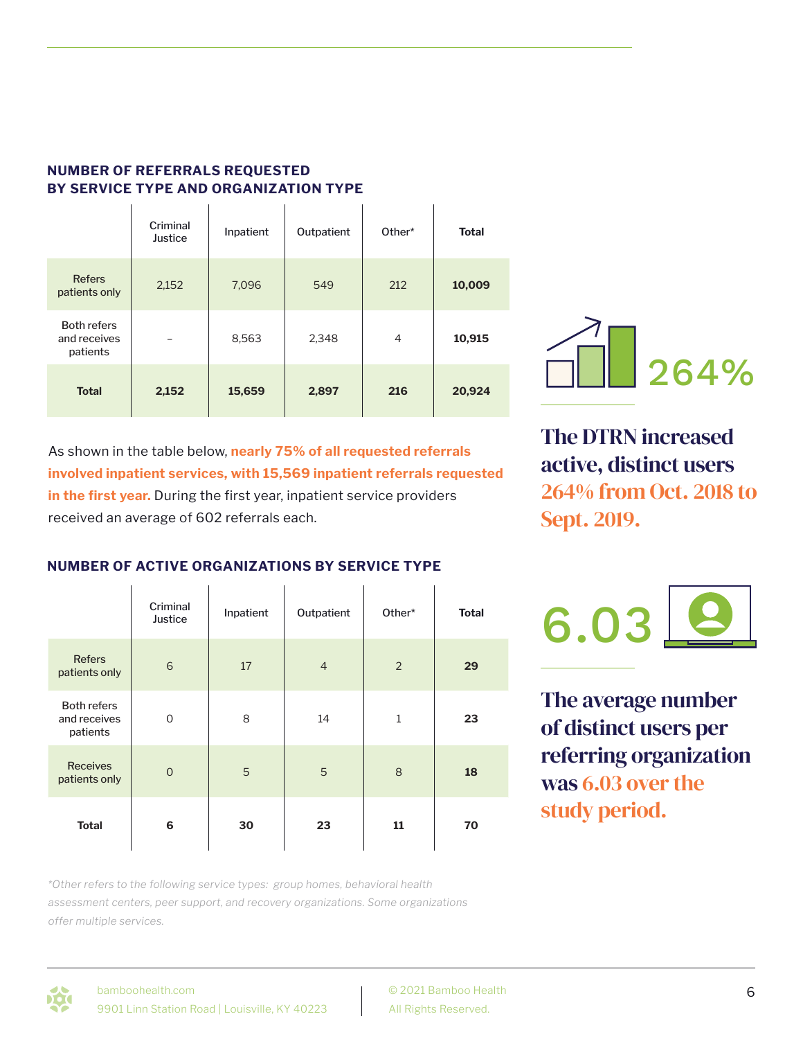|                                                | Criminal<br>Justice      | Inpatient | Outpatient | Other*         | <b>Total</b> |
|------------------------------------------------|--------------------------|-----------|------------|----------------|--------------|
| <b>Refers</b><br>patients only                 | 2,152                    | 7,096     | 549        | 212            | 10,009       |
| <b>Both refers</b><br>and receives<br>patients | $\overline{\phantom{0}}$ | 8,563     | 2,348      | $\overline{4}$ | 10,915       |
| <b>Total</b>                                   | 2,152                    | 15,659    | 2,897      | 216            | 20,924       |

 $\sim$  1

#### **NUMBER OF REFERRALS REQUESTED BY SERVICE TYPE AND ORGANIZATION TYPE**  $\mathbf{L}^{\mathrm{eff}}$

 $\mathbf{I}$ 

As shown in the table below, **nearly 75% of all requested referrals involved inpatient services, with 15,569 inpatient referrals requested in the first year.** During the first year, inpatient service providers received an average of 602 referrals each.

The DTRN increased active, distinct users 264% from Oct. 2018 to Sept. 2019.

### **NUMBER OF ACTIVE ORGANIZATIONS BY SERVICE TYPE**

|                                                | Criminal<br>Justice | Inpatient | Outpatient     | Other*  | <b>Total</b> |
|------------------------------------------------|---------------------|-----------|----------------|---------|--------------|
| <b>Refers</b><br>patients only                 | 6                   | 17        | $\overline{4}$ | 2       | 29           |
| <b>Both refers</b><br>and receives<br>patients | $\mathbf 0$         | 8         | 14             | $\,1\,$ | 23           |
| <b>Receives</b><br>patients only               | $\overline{0}$      | 5         | 5              | 8       | 18           |
| <b>Total</b>                                   | 6                   | 30        | 23             | 11      | 70           |



The average number of distinct users per referring organization was 6.03 over the study period.

*\*Other refers to the following service types: group homes, behavioral health assessment centers, peer support, and recovery organizations. Some organizations offer multiple services.*

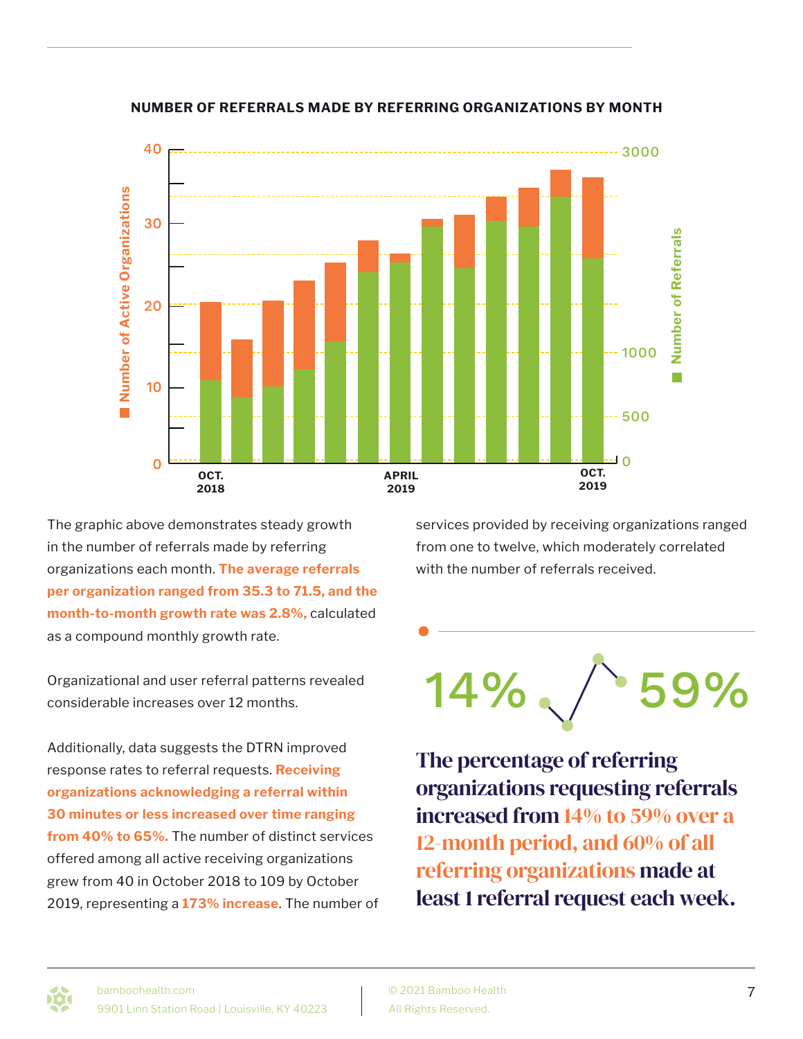

**NUMBER OF REFERRALS MADE BY REFERRING ORGANIZATIONS BY MONTH**

The graphic above demonstrates steady growth in the number of referrals made by referring organizations each month. **The average referrals per organization ranged from 35.3 to 71.5, and the month-to-month growth rate was 2.8%,** calculated as a compound monthly growth rate.

Organizational and user referral patterns revealed considerable increases over 12 months.

Additionally, data suggests the DTRN improved response rates to referral requests. **Receiving organizations acknowledging a referral within 30 minutes or less increased over time ranging from 40% to 65%.** The number of distinct services offered among all active receiving organizations grew from 40 in October 2018 to 109 by October 2019, representing a **173% increase**. The number of services provided by receiving organizations ranged from one to twelve, which moderately correlated with the number of referrals received.



The percentage of referring organizations requesting referrals increased from 14% to 59% over a 12-month period, and 60% of all referring organizations made at least 1 referral request each week.

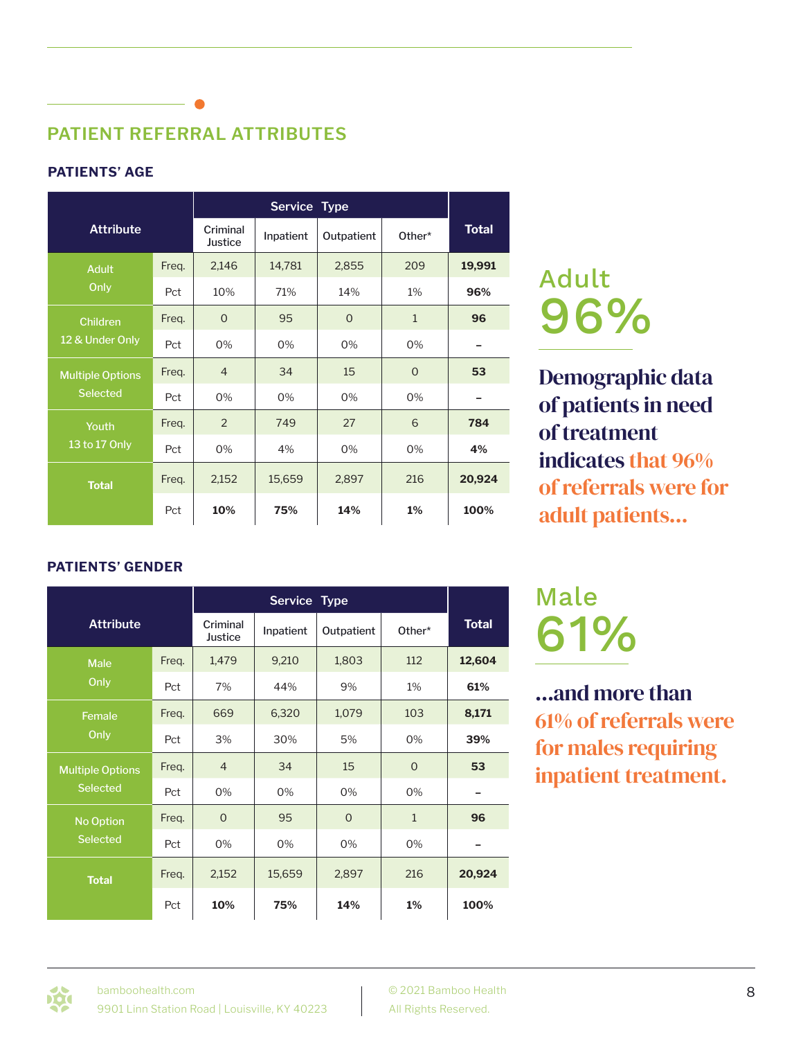# **PATIENT REFERRAL ATTRIBUTES**

### **PATIENTS' AGE**

| <b>Attribute</b>        |       | Criminal<br>Justice | Inpatient | Outpatient | Other*       | <b>Total</b> |
|-------------------------|-------|---------------------|-----------|------------|--------------|--------------|
| <b>Adult</b>            | Freq. | 2,146               | 14,781    | 2,855      | 209          | 19,991       |
| Only                    | Pct   | 10%                 | 71%       | 14%        | 1%           | 96%          |
| <b>Children</b>         | Freq. | $\Omega$            | 95        | $\Omega$   | $\mathbf{1}$ | 96           |
| 12 & Under Only         | Pct   | 0%                  | 0%        | 0%         | 0%           |              |
| <b>Multiple Options</b> | Freq. | $\overline{4}$      | 34        | 15         | $\Omega$     | 53           |
| <b>Selected</b>         | Pct   | 0%                  | 0%        | 0%         | 0%           |              |
| Youth                   | Freq. | 2                   | 749       | 27         | 6            | 784          |
| 13 to 17 Only           | Pct   | 0%                  | 4%        | 0%         | 0%           | 4%           |
| <b>Total</b>            | Freq. | 2,152               | 15,659    | 2,897      | 216          | 20,924       |
|                         | Pct   | 10%                 | 75%       | 14%        | 1%           | 100%         |

# Adult 96%

Demographic data of patients in need of treatment indicates that 96% of referrals were for adult patients...

### **PATIENTS' GENDER**

| <b>Attribute</b>        |       | Criminal<br>Justice | Inpatient | Outpatient   | Other*       | <b>Total</b> |
|-------------------------|-------|---------------------|-----------|--------------|--------------|--------------|
| <b>Male</b>             | Freq. | 1,479               | 9,210     | 1,803        | 112          | 12,604       |
| Only                    | Pct   | 7%                  | 44%       | 9%           | 1%           | 61%          |
| Female                  | Freq. | 669                 | 6,320     | 1,079        | 103          | 8,171        |
| Only                    | Pct   | 3%                  | 30%       | 5%           | 0%           | 39%          |
| <b>Multiple Options</b> | Freq. | $\overline{4}$      | 34        | 15           | $\mathbf{O}$ | 53           |
| <b>Selected</b>         | Pct   | 0%                  | 0%        | 0%           | 0%           |              |
| No Option               | Freq. | $\Omega$            | 95        | $\mathbf{O}$ | $\mathbf{1}$ | 96           |
| <b>Selected</b>         | Pct   | 0%                  | 0%        | 0%           | 0%           |              |
| <b>Total</b>            | Freq. | 2,152               | 15,659    | 2,897        | 216          | 20,924       |
|                         | Pct   | 10%                 | 75%       | 14%          | $1\%$        | 100%         |

# Male 61%

...and more than 61% of referrals were for males requiring inpatient treatment.

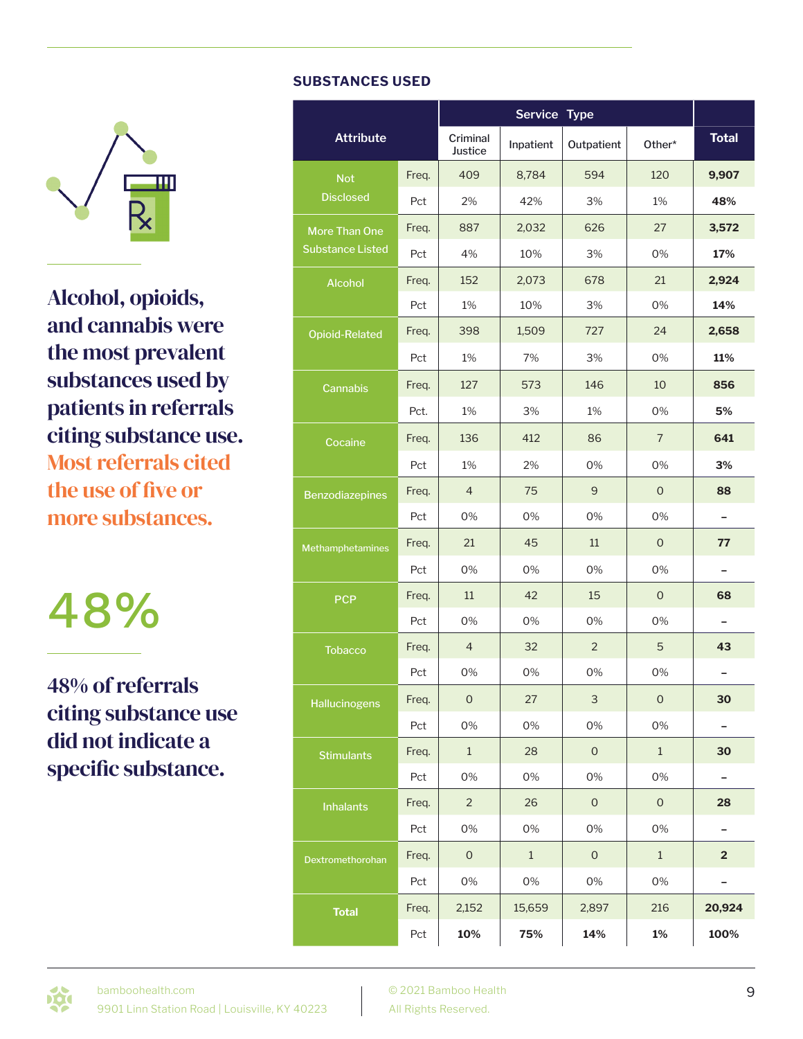

Alcohol, opioids, and cannabis were the most prevalent substances used by patients in referrals citing substance use. Most referrals cited the use of five or more substances.

48%

48% of referrals citing substance use did not indicate a specific substance.

#### **SUBSTANCES USED**

|                         |       |                     | Service Type |                     |                     |                          |
|-------------------------|-------|---------------------|--------------|---------------------|---------------------|--------------------------|
| <b>Attribute</b>        |       | Criminal<br>Justice | Inpatient    | Outpatient          | Other*              | <b>Total</b>             |
| <b>Not</b>              | Freq. | 409                 | 8,784        | 594                 | 120                 | 9,907                    |
| <b>Disclosed</b>        | Pct   | 2%                  | 42%          | 3%                  | 1%                  | 48%                      |
| More Than One           | Freq. | 887                 | 2,032        | 626                 | 27                  | 3,572                    |
| <b>Substance Listed</b> | Pct   | 4%                  | 10%          | 3%                  | 0%                  | 17%                      |
| <b>Alcohol</b>          | Freq. | 152                 | 2,073        | 678                 | 21                  | 2,924                    |
|                         | Pct   | 1%                  | 10%          | 3%                  | 0%                  | 14%                      |
| <b>Opioid-Related</b>   | Freq. | 398                 | 1,509        | 727                 | 24                  | 2,658                    |
|                         | Pct   | 1%                  | 7%           | 3%                  | 0%                  | 11%                      |
| Cannabis                | Freq. | 127                 | 573          | 146                 | 10                  | 856                      |
|                         | Pct.  | 1%                  | 3%           | 1%                  | 0%                  | 5%                       |
| Cocaine                 | Freq. | 136                 | 412          | 86                  | $\overline{7}$      | 641                      |
|                         | Pct   | 1%                  | 2%           | 0%                  | 0%                  | 3%                       |
| <b>Benzodiazepines</b>  | Freq. | $\overline{4}$      | 75           | 9                   | $\overline{O}$      | 88                       |
|                         | Pct   | 0%                  | 0%           | 0%                  | 0%                  |                          |
| Methamphetamines        | Freq. | 21                  | 45           | 11                  | $\mathbf 0$         | 77                       |
|                         | Pct   | 0%                  | 0%           | 0%                  | 0%                  | ÷                        |
| <b>PCP</b>              | Freq. | 11                  | 42           | 15                  | $\mathsf{O}\xspace$ | 68                       |
|                         | Pct   | 0%                  | 0%           | 0%                  | 0%                  | $\overline{\phantom{0}}$ |
| <b>Tobacco</b>          | Freq. | 4                   | 32           | $\overline{2}$      | 5                   | 43                       |
|                         | Pct   | 0%                  | 0%           | 0%                  | 0%                  |                          |
| <b>Hallucinogens</b>    | Freq. | $\mathbf{O}$        | 27           | 3                   | $\mathbf{O}$        | 30                       |
|                         | Pct   | 0%                  | 0%           | 0%                  | 0%                  | -                        |
| <b>Stimulants</b>       | Freq. | $\mathbf{1}$        | 28           | $\mathsf O$         | $1\,$               | 30                       |
|                         | Pct   | 0%                  | 0%           | 0%                  | 0%                  | $\overline{\phantom{0}}$ |
| <b>Inhalants</b>        | Freq. | $\overline{2}$      | 26           | $\overline{0}$      | $\mathbf{O}$        | 28                       |
|                         | Pct   | 0%                  | 0%           | 0%                  | 0%                  | -                        |
| Dextromethorohan        | Freq. | $\mathsf{O}\xspace$ | $\mathbf{1}$ | $\mathsf{O}\xspace$ | $\mathbf 1$         | $\overline{\mathbf{2}}$  |
|                         | Pct   | 0%                  | 0%           | 0%                  | 0%                  |                          |
| <b>Total</b>            | Freq. | 2,152               | 15,659       | 2,897               | 216                 | 20,924                   |
|                         | Pct   | 10%                 | 75%          | 14%                 | 1%                  | 100%                     |

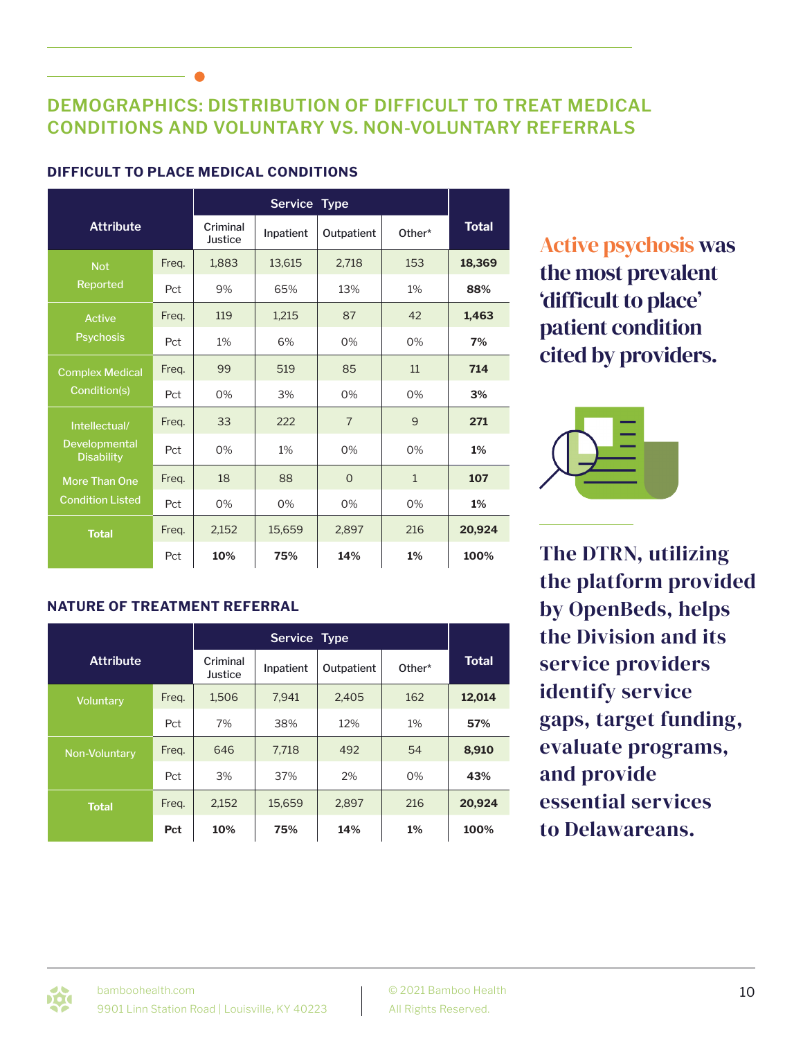### **DEMOGRAPHICS: DISTRIBUTION OF DIFFICULT TO TREAT MEDICAL CONDITIONS AND VOLUNTARY VS. NON-VOLUNTARY REFERRALS**

| <b>Attribute</b>                   |       | Criminal<br>Justice | Inpatient | Outpatient     | Other*       | <b>Total</b> |
|------------------------------------|-------|---------------------|-----------|----------------|--------------|--------------|
| <b>Not</b>                         | Freq. | 1,883               | 13,615    | 2,718          | 153          | 18,369       |
| Reported                           | Pct   | 9%                  | 65%       | 13%            | 1%           | 88%          |
| <b>Active</b>                      | Freq. | 119                 | 1,215     | 87             | 42           | 1,463        |
| <b>Psychosis</b>                   | Pct   | $1\%$               | 6%        | $0\%$          | $0\%$        | 7%           |
| <b>Complex Medical</b>             | Freq. | 99                  | 519       | 85             | 11           | 714          |
| Condition(s)                       | Pct   | 0%                  | 3%        | $0\%$          | $0\%$        | 3%           |
| Intellectual/                      | Freq. | 33                  | 222       | $\overline{7}$ | 9            | 271          |
| Developmental<br><b>Disability</b> | Pct   | 0%                  | 1%        | $0\%$          | $0\%$        | 1%           |
| <b>More Than One</b>               | Freq. | 18                  | 88        | $\Omega$       | $\mathbf{1}$ | 107          |
| <b>Condition Listed</b>            | Pct   | 0%                  | 0%        | $0\%$          | $0\%$        | 1%           |
| <b>Total</b>                       | Freq. | 2,152               | 15,659    | 2,897          | 216          | 20,924       |
|                                    | Pct   | 10%                 | 75%       | 14%            | 1%           | 100%         |

### **DIFFICULT TO PLACE MEDICAL CONDITIONS**

Active psychosis was the most prevalent 'difficult to place' patient condition cited by providers.



The DTRN, utilizing the platform provided by OpenBeds, helps the Division and its service providers identify service gaps, target funding, evaluate programs, and provide essential services to Delawareans.

### **NATURE OF TREATMENT REFERRAL**

| <b>Attribute</b> |       | Criminal<br>Justice | Inpatient | Outpatient | Other* | <b>Total</b> |
|------------------|-------|---------------------|-----------|------------|--------|--------------|
| <b>Voluntary</b> | Freq. | 1,506               | 7,941     | 2,405      | 162    | 12,014       |
|                  | Pct   | 7%                  | 38%       | 12%        | 1%     | 57%          |
| Non-Voluntary    | Freq. | 646                 | 7,718     | 492        | 54     | 8,910        |
|                  | Pct   | 3%                  | 37%       | 2%         | 0%     | 43%          |
| <b>Total</b>     | Freq. | 2,152               | 15,659    | 2,897      | 216    | 20,924       |
|                  | Pct   | 10%                 | 75%       | 14%        | $1\%$  | 100%         |

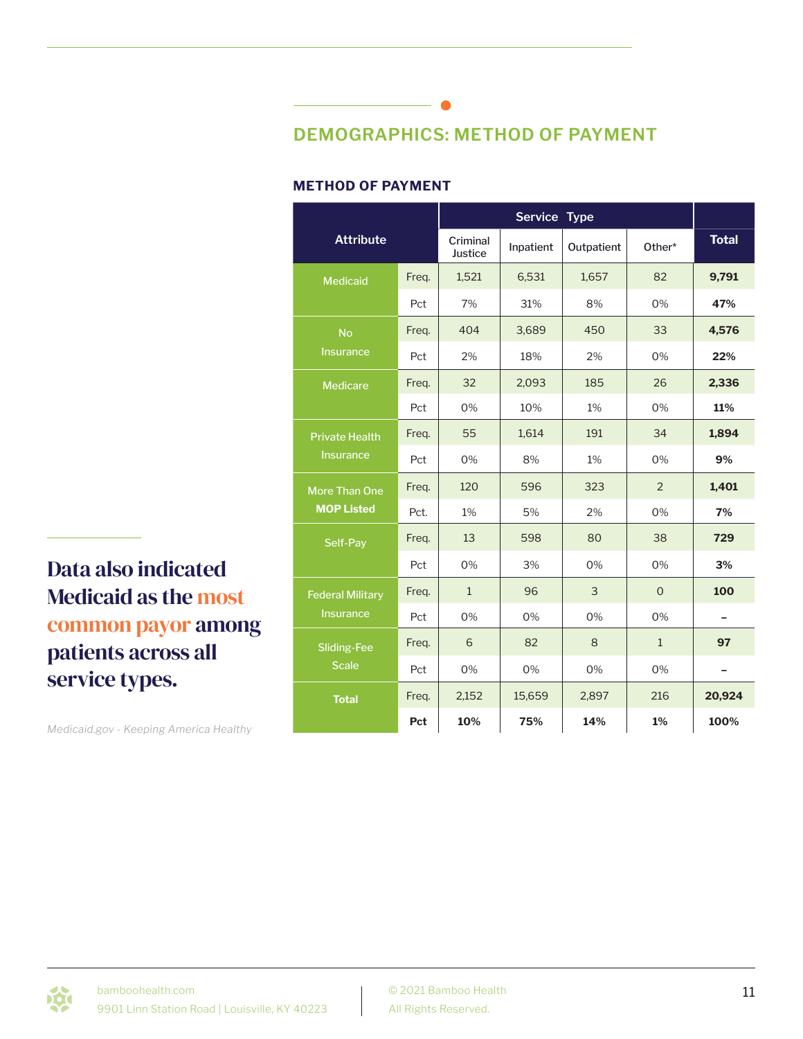# **DEMOGRAPHICS: METHOD OF PAYMENT**

#### **METHOD OF PAYMENT**

| <b>Attribute</b>        |       | Criminal<br>Justice | Inpatient | Outpatient | Other*         | <b>Total</b>             |
|-------------------------|-------|---------------------|-----------|------------|----------------|--------------------------|
| <b>Medicaid</b>         | Freq. | 1,521               | 6,531     | 1,657      | 82             | 9,791                    |
|                         | Pct   | 7%                  | 31%       | 8%         | 0%             | 47%                      |
| <b>No</b>               | Freq. | 404                 | 3,689     | 450        | 33             | 4,576                    |
| <b>Insurance</b>        | Pct   | 2%                  | 18%       | 2%         | 0%             | 22%                      |
| <b>Medicare</b>         | Freq. | 32                  | 2,093     | 185        | 26             | 2,336                    |
|                         | Pct   | 0%                  | 10%       | 1%         | 0%             | 11%                      |
| <b>Private Health</b>   | Freq. | 55                  | 1,614     | 191        | 34             | 1,894                    |
| <b>Insurance</b>        | Pct   | 0%                  | 8%        | 1%         | 0%             | 9%                       |
| More Than One           | Freq. | 120                 | 596       | 323        | $\overline{2}$ | 1,401                    |
| <b>MOP Listed</b>       | Pct.  | 1%                  | 5%        | 2%         | 0%             | 7%                       |
| Self-Pay                | Freq. | 13                  | 598       | 80         | 38             | 729                      |
|                         | Pct   | 0%                  | 3%        | 0%         | 0%             | 3%                       |
| <b>Federal Military</b> | Freq. | $\mathbf{1}$        | 96        | 3          | $\Omega$       | 100                      |
| <b>Insurance</b>        | Pct   | 0%                  | 0%        | 0%         | 0%             | $\overline{\phantom{0}}$ |
| <b>Sliding-Fee</b>      | Freq. | 6                   | 82        | 8          | $\mathbf{1}$   | 97                       |
| <b>Scale</b>            | Pct   | 0%                  | 0%        | 0%         | 0%             |                          |
| <b>Total</b>            | Freq. | 2,152               | 15,659    | 2,897      | 216            | 20,924                   |
|                         | Pct   | 10%                 | 75%       | 14%        | 1%             | 100%                     |

© 2021 Bamboo Health All Rights Reserved.

Data also indicated Medicaid as the most common payor among patients across all service types.

*Medicaid.gov - Keeping America Healthy*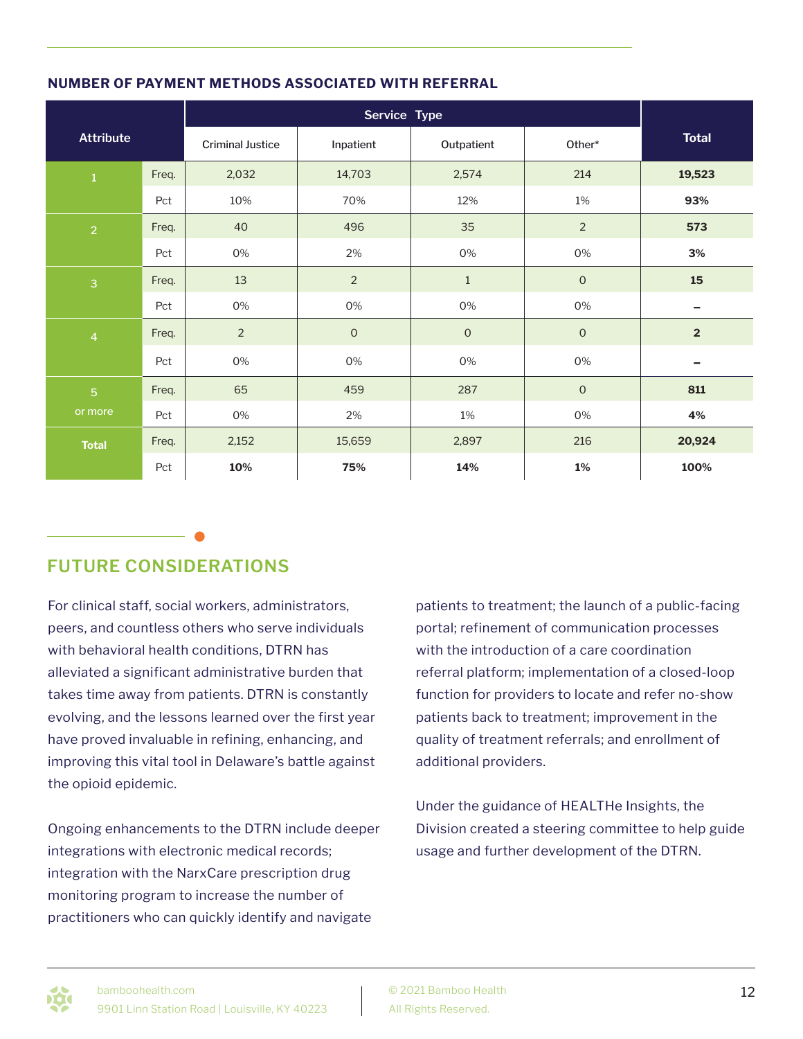| <b>Attribute</b> |       | <b>Criminal Justice</b> | Inpatient      | Outpatient  | Other*         | <b>Total</b>            |
|------------------|-------|-------------------------|----------------|-------------|----------------|-------------------------|
| $\mathbf 1$      | Freq. | 2,032                   | 14,703         | 2,574       | 214            | 19,523                  |
|                  | Pct   | 10%                     | 70%            | 12%         | $1\%$          | 93%                     |
| $\overline{2}$   | Freq. | 40                      | 496            | 35          | $\overline{2}$ | 573                     |
|                  | Pct   | $0\%$                   | 2%             | $0\%$       | 0%             | 3%                      |
| $\overline{3}$   | Freq. | 13                      | $\overline{2}$ | $1\,$       | $\mathbf 0$    | 15                      |
|                  | Pct   | 0%                      | 0%             | 0%          | 0%             | -                       |
| $\overline{4}$   | Freq. | $\overline{2}$          | $\mathsf O$    | $\mathsf O$ | $\mathbf 0$    | $\overline{\mathbf{2}}$ |
|                  | Pct   | $0\%$                   | 0%             | 0%          | $0\%$          | $\qquad \qquad$         |
| $\overline{5}$   | Freq. | 65                      | 459            | 287         | $\mathbf 0$    | 811                     |
| or more          | Pct   | 0%                      | 2%             | $1\%$       | 0%             | 4%                      |
| <b>Total</b>     | Freq. | 2,152                   | 15,659         | 2,897       | 216            | 20,924                  |
|                  | Pct   | 10%                     | 75%            | 14%         | $1\%$          | 100%                    |

### **NUMBER OF PAYMENT METHODS ASSOCIATED WITH REFERRAL**

### **FUTURE CONSIDERATIONS**

For clinical staff, social workers, administrators, peers, and countless others who serve individuals with behavioral health conditions, DTRN has alleviated a significant administrative burden that takes time away from patients. DTRN is constantly evolving, and the lessons learned over the first year have proved invaluable in refining, enhancing, and improving this vital tool in Delaware's battle against the opioid epidemic.

Ongoing enhancements to the DTRN include deeper integrations with electronic medical records; integration with the NarxCare prescription drug monitoring program to increase the number of practitioners who can quickly identify and navigate

patients to treatment; the launch of a public-facing portal; refinement of communication processes with the introduction of a care coordination referral platform; implementation of a closed-loop function for providers to locate and refer no-show patients back to treatment; improvement in the quality of treatment referrals; and enrollment of additional providers.

Under the guidance of HEALTHe Insights, the Division created a steering committee to help guide usage and further development of the DTRN.